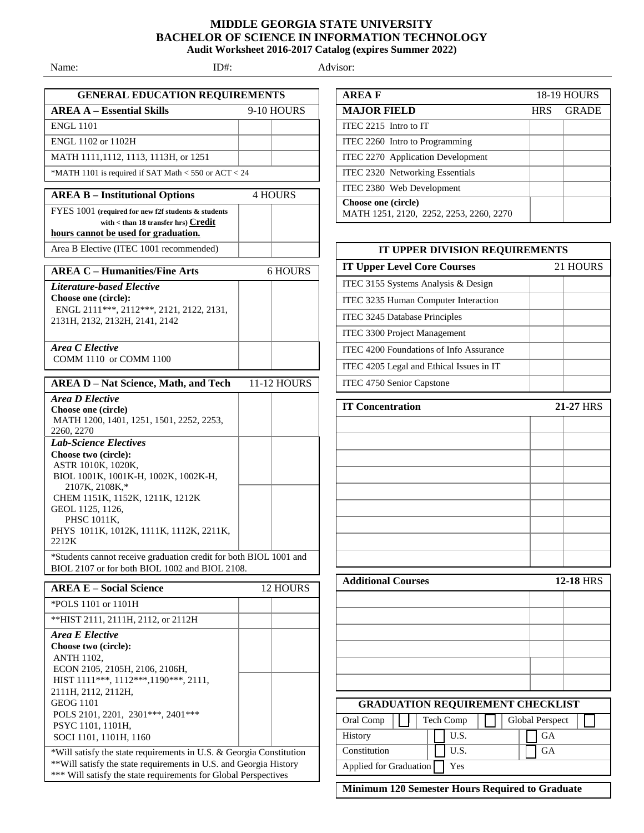## **MIDDLE GEORGIA STATE UNIVERSITY BACHELOR OF SCIENCE IN INFORMATION TECHNOLOGY Audit Worksheet 2016-2017 Catalog (expires Summer 2022)**

Name: ID#: Advisor:

| <b>GENERAL EDUCATION REQUIREMENTS</b><br><b>AREA A - Essential Skills</b><br>9-10 HOURS                             |  |                |  |
|---------------------------------------------------------------------------------------------------------------------|--|----------------|--|
| <b>ENGL 1101</b>                                                                                                    |  |                |  |
| ENGL 1102 or 1102H                                                                                                  |  |                |  |
| MATH 1111,1112, 1113, 1113H, or 1251                                                                                |  |                |  |
| *MATH 1101 is required if SAT Math $<$ 550 or ACT $<$ 24                                                            |  |                |  |
|                                                                                                                     |  |                |  |
| <b>AREA B - Institutional Options</b>                                                                               |  | <b>4 HOURS</b> |  |
| FYES 1001 (required for new f2f students & students                                                                 |  |                |  |
| with $<$ than 18 transfer hrs) $Credit$<br>hours cannot be used for graduation.                                     |  |                |  |
| Area B Elective (ITEC 1001 recommended)                                                                             |  |                |  |
|                                                                                                                     |  |                |  |
| <b>AREA C - Humanities/Fine Arts</b>                                                                                |  | 6 HOURS        |  |
| <b>Literature-based Elective</b><br>Choose one (circle):                                                            |  |                |  |
| ENGL 2111 ***, 2112 ***, 2121, 2122, 2131,                                                                          |  |                |  |
| 2131H, 2132, 2132H, 2141, 2142                                                                                      |  |                |  |
|                                                                                                                     |  |                |  |
| Area C Elective                                                                                                     |  |                |  |
| COMM 1110 or COMM 1100                                                                                              |  |                |  |
| <b>AREA D - Nat Science, Math, and Tech</b>                                                                         |  | 11-12 HOURS    |  |
| Area D Elective                                                                                                     |  |                |  |
| Choose one (circle)<br>MATH 1200, 1401, 1251, 1501, 2252, 2253,                                                     |  |                |  |
| 2260, 2270                                                                                                          |  |                |  |
| <b>Lab-Science Electives</b>                                                                                        |  |                |  |
| Choose two (circle):<br>ASTR 1010K, 1020K,                                                                          |  |                |  |
| BIOL 1001K, 1001K-H, 1002K, 1002K-H,                                                                                |  |                |  |
| 2107K, 2108K,*                                                                                                      |  |                |  |
| CHEM 1151K, 1152K, 1211K, 1212K<br>GEOL 1125, 1126,                                                                 |  |                |  |
| PHSC 1011K,                                                                                                         |  |                |  |
| PHYS 1011K, 1012K, 1111K, 1112K, 2211K,<br>2212K                                                                    |  |                |  |
|                                                                                                                     |  |                |  |
| *Students cannot receive graduation credit for both BIOL 1001 and<br>BIOL 2107 or for both BIOL 1002 and BIOL 2108. |  |                |  |
| <b>AREA E – Social Science</b>                                                                                      |  | 12 HOURS       |  |
| *POLS 1101 or 1101H                                                                                                 |  |                |  |
| ** HIST 2111, 2111H, 2112, or 2112H                                                                                 |  |                |  |
| Area E Elective                                                                                                     |  |                |  |
| Choose two (circle):                                                                                                |  |                |  |
| <b>ANTH 1102,</b>                                                                                                   |  |                |  |
| ECON 2105, 2105H, 2106, 2106H,<br>HIST 1111***, 1112***, 1190***, 2111,                                             |  |                |  |
| 2111H, 2112, 2112H,                                                                                                 |  |                |  |
| <b>GEOG 1101</b>                                                                                                    |  |                |  |
| POLS 2101, 2201, 2301 *** , 2401 ***<br>PSYC 1101, 1101H,                                                           |  |                |  |
| SOCI 1101, 1101H, 1160                                                                                              |  |                |  |
| *Will satisfy the state requirements in U.S. & Georgia Constitution                                                 |  |                |  |
| ** Will satisfy the state requirements in U.S. and Georgia History                                                  |  |                |  |
| *** Will satisfy the state requirements for Global Perspectives                                                     |  |                |  |

| <b>AREAF</b>                                                   |            | <b>18-19 HOURS</b> |
|----------------------------------------------------------------|------------|--------------------|
| <b>MAJOR FIELD</b>                                             | <b>HRS</b> | <b>GRADE</b>       |
| ITEC 2215 Intro to IT                                          |            |                    |
| ITEC 2260 Intro to Programming                                 |            |                    |
| ITEC 2270 Application Development                              |            |                    |
| ITEC 2320 Networking Essentials                                |            |                    |
| ITEC 2380 Web Development                                      |            |                    |
| Choose one (circle)<br>MATH 1251, 2120, 2252, 2253, 2260, 2270 |            |                    |

| IT UPPER DIVISION REQUIREMENTS                   |                  |  |
|--------------------------------------------------|------------------|--|
| <b>IT Upper Level Core Courses</b>               | 21 HOURS         |  |
| ITEC 3155 Systems Analysis & Design              |                  |  |
| ITEC 3235 Human Computer Interaction             |                  |  |
| ITEC 3245 Database Principles                    |                  |  |
| ITEC 3300 Project Management                     |                  |  |
| ITEC 4200 Foundations of Info Assurance          |                  |  |
| ITEC 4205 Legal and Ethical Issues in IT         |                  |  |
| ITEC 4750 Senior Capstone                        |                  |  |
| <b>IT Concentration</b><br>21-27 HRS             |                  |  |
|                                                  |                  |  |
|                                                  |                  |  |
|                                                  |                  |  |
|                                                  |                  |  |
|                                                  |                  |  |
|                                                  |                  |  |
|                                                  |                  |  |
|                                                  |                  |  |
|                                                  |                  |  |
|                                                  |                  |  |
| <b>Additional Courses</b>                        | <b>12-18 HRS</b> |  |
|                                                  |                  |  |
|                                                  |                  |  |
|                                                  |                  |  |
|                                                  |                  |  |
|                                                  |                  |  |
|                                                  |                  |  |
| <b>GRADUATION REQUIREMENT CHECKLIST</b>          |                  |  |
| Oral Comp<br>Tech Comp<br><b>Global Perspect</b> |                  |  |
| U.S.<br>History                                  | GA               |  |
| Constitution<br>U.S.                             | GA               |  |
| Applied for Graduation<br>Yes                    |                  |  |
|                                                  |                  |  |

**Minimum 120 Semester Hours Required to Graduate**